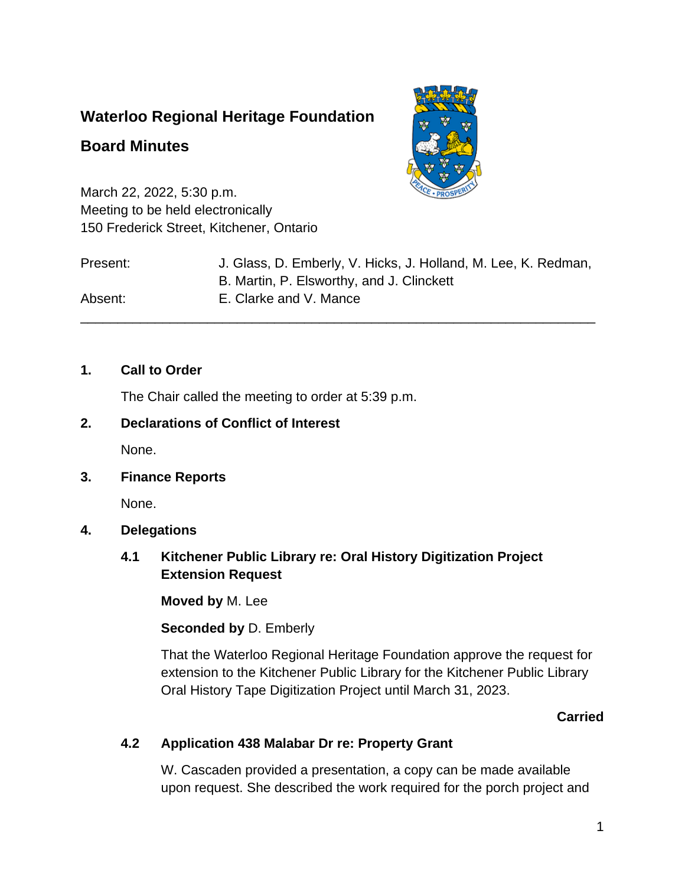# **Waterloo Regional Heritage Foundation**

# **Board Minutes**



March 22, 2022, 5:30 p.m. Meeting to be held electronically 150 Frederick Street, Kitchener, Ontario

| Present: | J. Glass, D. Emberly, V. Hicks, J. Holland, M. Lee, K. Redman,<br>B. Martin, P. Elsworthy, and J. Clinckett |
|----------|-------------------------------------------------------------------------------------------------------------|
| Absent:  | E. Clarke and V. Mance                                                                                      |

## **1. Call to Order**

The Chair called the meeting to order at 5:39 p.m.

## **2. Declarations of Conflict of Interest**

None.

### **3. Finance Reports**

None.

### **4. Delegations**

## **4.1 Kitchener Public Library re: Oral History Digitization Project Extension Request**

**Moved by** M. Lee

### **Seconded by** D. Emberly

That the Waterloo Regional Heritage Foundation approve the request for extension to the Kitchener Public Library for the Kitchener Public Library Oral History Tape Digitization Project until March 31, 2023.

## **Carried**

## **4.2 Application 438 Malabar Dr re: Property Grant**

W. Cascaden provided a presentation, a copy can be made available upon request. She described the work required for the porch project and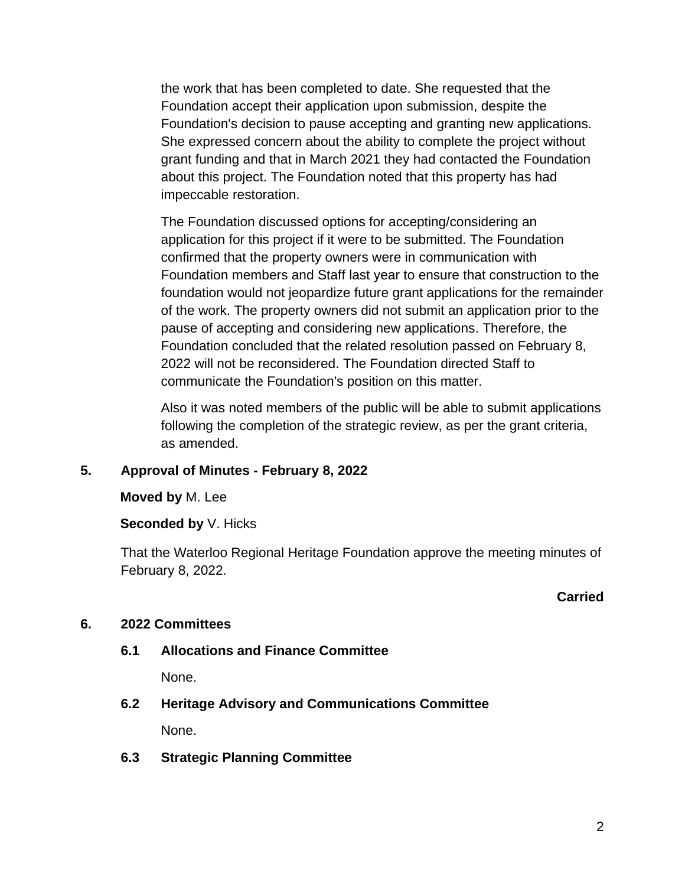the work that has been completed to date. She requested that the Foundation accept their application upon submission, despite the Foundation's decision to pause accepting and granting new applications. She expressed concern about the ability to complete the project without grant funding and that in March 2021 they had contacted the Foundation about this project. The Foundation noted that this property has had impeccable restoration.

The Foundation discussed options for accepting/considering an application for this project if it were to be submitted. The Foundation confirmed that the property owners were in communication with Foundation members and Staff last year to ensure that construction to the foundation would not jeopardize future grant applications for the remainder of the work. The property owners did not submit an application prior to the pause of accepting and considering new applications. Therefore, the Foundation concluded that the related resolution passed on February 8, 2022 will not be reconsidered. The Foundation directed Staff to communicate the Foundation's position on this matter.

Also it was noted members of the public will be able to submit applications following the completion of the strategic review, as per the grant criteria, as amended.

## **5. Approval of Minutes - February 8, 2022**

### **Moved by** M. Lee

### **Seconded by** V. Hicks

That the Waterloo Regional Heritage Foundation approve the meeting minutes of February 8, 2022.

### **Carried**

### **6. 2022 Committees**

**6.1 Allocations and Finance Committee**

None.

- **6.2 Heritage Advisory and Communications Committee** None.
- **6.3 Strategic Planning Committee**